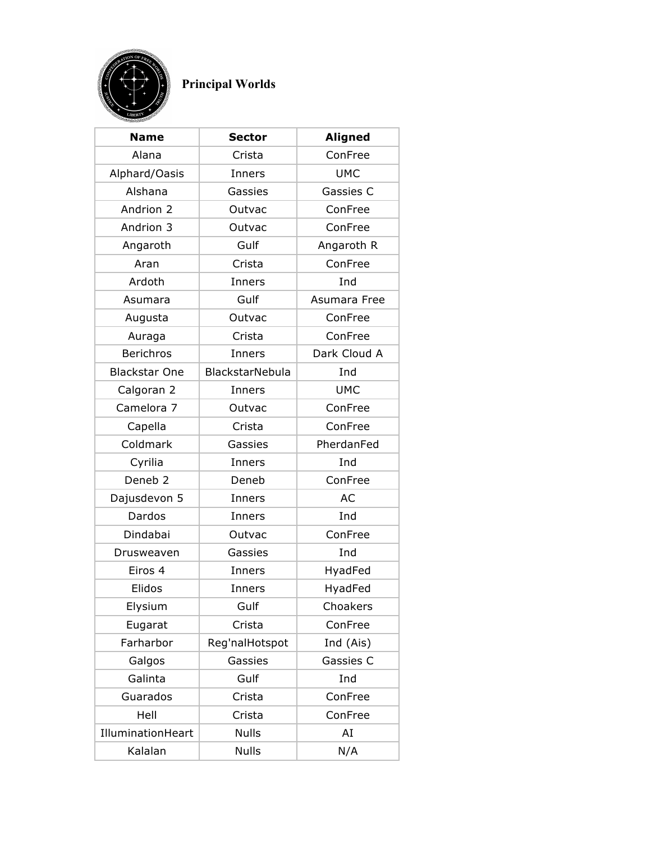

## **Principal Worlds**

| <b>Name</b>          | <b>Sector</b>          | <b>Aligned</b> |
|----------------------|------------------------|----------------|
| Alana                | Crista                 | ConFree        |
| Alphard/Oasis        | Inners                 | <b>UMC</b>     |
| Alshana              | Gassies                | Gassies C      |
| Andrion 2            | Outvac                 | ConFree        |
| Andrion 3            | Outvac                 | ConFree        |
| Angaroth             | Gulf                   | Angaroth R     |
| Aran                 | Crista                 | ConFree        |
| Ardoth               | Inners                 | Ind            |
| Asumara              | Gulf                   | Asumara Free   |
| Augusta              | Outvac                 | ConFree        |
| Auraga               | Crista                 | ConFree        |
| <b>Berichros</b>     | Inners                 | Dark Cloud A   |
| <b>Blackstar One</b> | <b>BlackstarNebula</b> | Ind            |
| Calgoran 2           | Inners                 | <b>UMC</b>     |
| Camelora 7           | Outvac                 | ConFree        |
| Capella              | Crista                 | ConFree        |
| Coldmark             | Gassies                | PherdanFed     |
| Cyrilia              | Inners                 | Ind            |
| Deneb <sub>2</sub>   | Deneb                  | ConFree        |
| Dajusdevon 5         | Inners                 | <b>AC</b>      |
| Dardos               | Inners                 | Ind            |
| Dindabai             | Outvac                 | ConFree        |
| Drusweaven           | Gassies                | Ind            |
| Eiros 4              | Inners                 | HyadFed        |
| Elidos               | Inners                 | HyadFed        |
| Elysium              | Gulf                   | Choakers       |
| Eugarat              | Crista                 | ConFree        |
| Farharbor            | Reg'nalHotspot         | Ind (Ais)      |
| Galgos               | Gassies                | Gassies C      |
| Galinta              | Gulf                   | Ind            |
| Guarados             | Crista                 | ConFree        |
| Hell                 | Crista                 | ConFree        |
| IlluminationHeart    | <b>Nulls</b>           | AI             |
| Kalalan              | <b>Nulls</b>           | N/A            |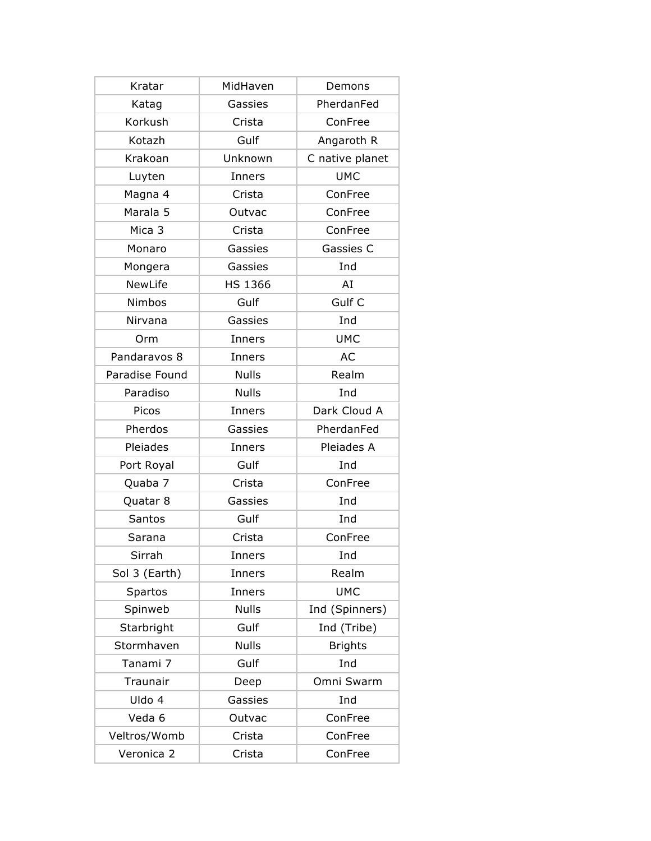| Kratar              | MidHaven      | Demons          |
|---------------------|---------------|-----------------|
| Katag               | Gassies       | PherdanFed      |
| Korkush             | Crista        | ConFree         |
| Kotazh              | Gulf          | Angaroth R      |
| Krakoan             | Unknown       | C native planet |
| Luyten              | Inners        | <b>UMC</b>      |
| Magna 4             | Crista        | ConFree         |
| Marala <sub>5</sub> | Outvac        | ConFree         |
| Mica 3              | Crista        | ConFree         |
| Monaro              | Gassies       | Gassies C       |
| Mongera             | Gassies       | Ind             |
| <b>NewLife</b>      | HS 1366       | AI              |
| Nimbos              | Gulf          | Gulf C          |
| Nirvana             | Gassies       | Ind             |
| Orm                 | Inners        | <b>UMC</b>      |
| Pandaravos 8        | <b>Inners</b> | AC              |
| Paradise Found      | <b>Nulls</b>  | Realm           |
| Paradiso            | <b>Nulls</b>  | Ind             |
| Picos               | Inners        | Dark Cloud A    |
| Pherdos             | Gassies       | PherdanFed      |
| Pleiades            | Inners        | Pleiades A      |
| Port Royal          | Gulf          | Ind             |
| Quaba 7             | Crista        | ConFree         |
| Quatar 8            | Gassies       | Ind             |
| Santos              | Gulf          | Ind             |
| Sarana              | Crista        | ConFree         |
| Sirrah              | Inners        | Ind             |
| Sol 3 (Earth)       | Inners        | Realm           |
| <b>Spartos</b>      | Inners        | <b>UMC</b>      |
| Spinweb             | <b>Nulls</b>  | Ind (Spinners)  |
| Starbright          | Gulf          | Ind (Tribe)     |
| Stormhaven          | <b>Nulls</b>  | <b>Brights</b>  |
| Tanami 7            | Gulf          | Ind             |
| Traunair            | Deep          | Omni Swarm      |
| Uldo 4              | Gassies       | Ind             |
| Veda 6              | Outvac        | ConFree         |
| Veltros/Womb        | Crista        | ConFree         |
| Veronica 2          | Crista        | ConFree         |